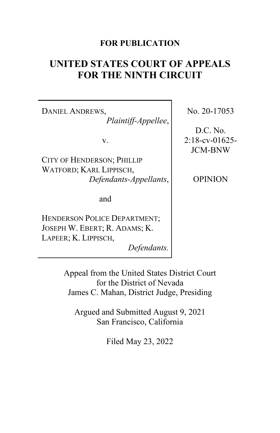# **FOR PUBLICATION**

# **UNITED STATES COURT OF APPEALS FOR THE NINTH CIRCUIT**

DANIEL ANDREWS, *Plaintiff-Appellee*,

v.

CITY OF HENDERSON; PHILLIP WATFORD; KARL LIPPISCH, *Defendants-Appellants*,

and

HENDERSON POLICE DEPARTMENT; JOSEPH W. EBERT; R. ADAMS; K. LAPEER; K. LIPPISCH,

*Defendants.*

No. 20-17053

D.C. No. 2:18-cv-01625- JCM-BNW

OPINION

Appeal from the United States District Court for the District of Nevada James C. Mahan, District Judge, Presiding

Argued and Submitted August 9, 2021 San Francisco, California

Filed May 23, 2022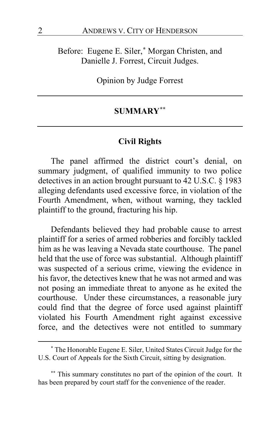Before: Eugene E. Siler,**[\\*](#page-1-0)** Morgan Christen, and Danielle J. Forrest, Circuit Judges.

Opinion by Judge Forrest

# **SUMMARY[\\*\\*](#page-1-1)**

#### **Civil Rights**

The panel affirmed the district court's denial, on summary judgment, of qualified immunity to two police detectives in an action brought pursuant to 42 U.S.C. § 1983 alleging defendants used excessive force, in violation of the Fourth Amendment, when, without warning, they tackled plaintiff to the ground, fracturing his hip.

Defendants believed they had probable cause to arrest plaintiff for a series of armed robberies and forcibly tackled him as he was leaving a Nevada state courthouse. The panel held that the use of force was substantial. Although plaintiff was suspected of a serious crime, viewing the evidence in his favor, the detectives knew that he was not armed and was not posing an immediate threat to anyone as he exited the courthouse. Under these circumstances, a reasonable jury could find that the degree of force used against plaintiff violated his Fourth Amendment right against excessive force, and the detectives were not entitled to summary

<span id="page-1-0"></span>**<sup>\*</sup>** The Honorable Eugene E. Siler, United States Circuit Judge for the U.S. Court of Appeals for the Sixth Circuit, sitting by designation.

<span id="page-1-1"></span>**<sup>\*\*</sup>** This summary constitutes no part of the opinion of the court. It has been prepared by court staff for the convenience of the reader.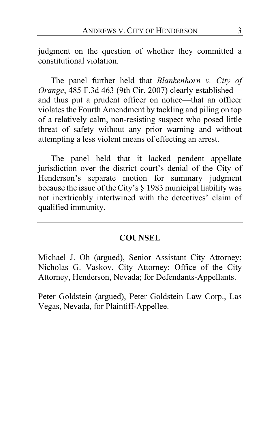judgment on the question of whether they committed a constitutional violation.

The panel further held that *Blankenhorn v. City of Orange*, 485 F.3d 463 (9th Cir. 2007) clearly established and thus put a prudent officer on notice—that an officer violates the Fourth Amendment by tackling and piling on top of a relatively calm, non-resisting suspect who posed little threat of safety without any prior warning and without attempting a less violent means of effecting an arrest.

The panel held that it lacked pendent appellate jurisdiction over the district court's denial of the City of Henderson's separate motion for summary judgment because the issue of the City's § 1983 municipal liability was not inextricably intertwined with the detectives' claim of qualified immunity.

# **COUNSEL**

Michael J. Oh (argued), Senior Assistant City Attorney; Nicholas G. Vaskov, City Attorney; Office of the City Attorney, Henderson, Nevada; for Defendants-Appellants.

Peter Goldstein (argued), Peter Goldstein Law Corp., Las Vegas, Nevada, for Plaintiff-Appellee.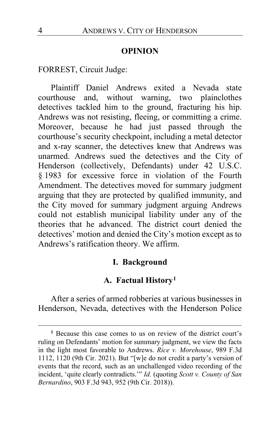#### **OPINION**

FORREST, Circuit Judge:

Plaintiff Daniel Andrews exited a Nevada state courthouse and, without warning, two plainclothes detectives tackled him to the ground, fracturing his hip. Andrews was not resisting, fleeing, or committing a crime. Moreover, because he had just passed through the courthouse's security checkpoint, including a metal detector and x-ray scanner, the detectives knew that Andrews was unarmed. Andrews sued the detectives and the City of Henderson (collectively, Defendants) under 42 U.S.C. § 1983 for excessive force in violation of the Fourth Amendment. The detectives moved for summary judgment arguing that they are protected by qualified immunity, and the City moved for summary judgment arguing Andrews could not establish municipal liability under any of the theories that he advanced. The district court denied the detectives' motion and denied the City's motion except as to Andrews's ratification theory. We affirm.

## **I. Background**

# **A. Factual History[1](#page-3-0)**

After a series of armed robberies at various businesses in Henderson, Nevada, detectives with the Henderson Police

<span id="page-3-0"></span>**<sup>1</sup>** Because this case comes to us on review of the district court's ruling on Defendants' motion for summary judgment, we view the facts in the light most favorable to Andrews. *Rice v. Morehouse*, 989 F.3d 1112, 1120 (9th Cir. 2021). But "[w]e do not credit a party's version of events that the record, such as an unchallenged video recording of the incident, 'quite clearly contradicts.'" *Id.* (quoting *Scott v. County of San Bernardino*, 903 F.3d 943, 952 (9th Cir. 2018)).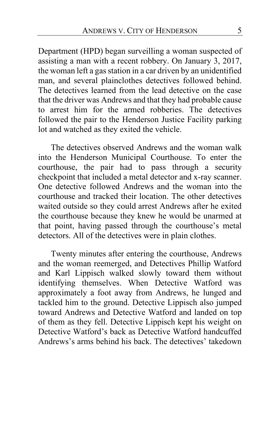Department (HPD) began surveilling a woman suspected of assisting a man with a recent robbery. On January 3, 2017, the woman left a gas station in a car driven by an unidentified man, and several plainclothes detectives followed behind. The detectives learned from the lead detective on the case that the driver was Andrews and that they had probable cause to arrest him for the armed robberies. The detectives followed the pair to the Henderson Justice Facility parking lot and watched as they exited the vehicle.

The detectives observed Andrews and the woman walk into the Henderson Municipal Courthouse. To enter the courthouse, the pair had to pass through a security checkpoint that included a metal detector and x-ray scanner. One detective followed Andrews and the woman into the courthouse and tracked their location. The other detectives waited outside so they could arrest Andrews after he exited the courthouse because they knew he would be unarmed at that point, having passed through the courthouse's metal detectors. All of the detectives were in plain clothes.

Twenty minutes after entering the courthouse, Andrews and the woman reemerged, and Detectives Phillip Watford and Karl Lippisch walked slowly toward them without identifying themselves. When Detective Watford was approximately a foot away from Andrews, he lunged and tackled him to the ground. Detective Lippisch also jumped toward Andrews and Detective Watford and landed on top of them as they fell. Detective Lippisch kept his weight on Detective Watford's back as Detective Watford handcuffed Andrews's arms behind his back. The detectives' takedown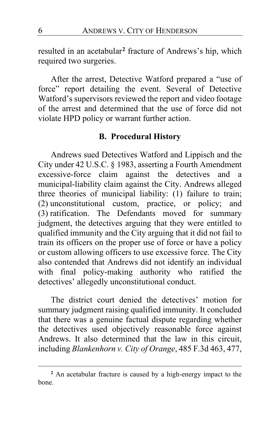resulted in an acetabular**[2](#page-5-0)** fracture of Andrews's hip, which required two surgeries.

After the arrest, Detective Watford prepared a "use of force" report detailing the event. Several of Detective Watford's supervisors reviewed the report and video footage of the arrest and determined that the use of force did not violate HPD policy or warrant further action.

# **B. Procedural History**

Andrews sued Detectives Watford and Lippisch and the City under 42 U.S.C. § 1983, asserting a Fourth Amendment excessive-force claim against the detectives and a municipal-liability claim against the City. Andrews alleged three theories of municipal liability: (1) failure to train; (2) unconstitutional custom, practice, or policy; and (3) ratification. The Defendants moved for summary judgment, the detectives arguing that they were entitled to qualified immunity and the City arguing that it did not fail to train its officers on the proper use of force or have a policy or custom allowing officers to use excessive force. The City also contended that Andrews did not identify an individual with final policy-making authority who ratified the detectives' allegedly unconstitutional conduct.

The district court denied the detectives' motion for summary judgment raising qualified immunity. It concluded that there was a genuine factual dispute regarding whether the detectives used objectively reasonable force against Andrews. It also determined that the law in this circuit, including *Blankenhorn v. City of Orange*, 485 F.3d 463, 477,

<span id="page-5-0"></span>**<sup>2</sup>** An acetabular fracture is caused by a high-energy impact to the bone.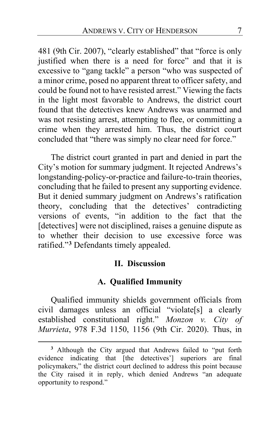481 (9th Cir. 2007), "clearly established" that "force is only justified when there is a need for force" and that it is excessive to "gang tackle" a person "who was suspected of a minor crime, posed no apparent threat to officer safety, and could be found not to have resisted arrest." Viewing the facts in the light most favorable to Andrews, the district court found that the detectives knew Andrews was unarmed and was not resisting arrest, attempting to flee, or committing a crime when they arrested him. Thus, the district court concluded that "there was simply no clear need for force."

The district court granted in part and denied in part the City's motion for summary judgment. It rejected Andrews's longstanding-policy-or-practice and failure-to-train theories, concluding that he failed to present any supporting evidence. But it denied summary judgment on Andrews's ratification theory, concluding that the detectives' contradicting versions of events, "in addition to the fact that the [detectives] were not disciplined, raises a genuine dispute as to whether their decision to use excessive force was ratified."**[3](#page-6-0)** Defendants timely appealed.

#### **II. Discussion**

# **A. Qualified Immunity**

Qualified immunity shields government officials from civil damages unless an official "violate[s] a clearly established constitutional right." *Monzon v. City of Murrieta*, 978 F.3d 1150, 1156 (9th Cir. 2020). Thus, in

<span id="page-6-0"></span>**<sup>3</sup>** Although the City argued that Andrews failed to "put forth evidence indicating that [the detectives'] superiors are final policymakers," the district court declined to address this point because the City raised it in reply, which denied Andrews "an adequate opportunity to respond."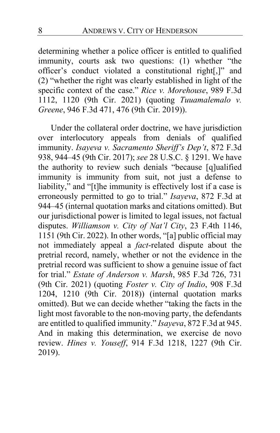determining whether a police officer is entitled to qualified immunity, courts ask two questions: (1) whether "the officer's conduct violated a constitutional right[,]" and (2) "whether the right was clearly established in light of the specific context of the case." *Rice v. Morehouse*, 989 F.3d 1112, 1120 (9th Cir. 2021) (quoting *Tuuamalemalo v. Greene*, 946 F.3d 471, 476 (9th Cir. 2019)).

Under the collateral order doctrine, we have jurisdiction over interlocutory appeals from denials of qualified immunity. *Isayeva v. Sacramento Sheriff's Dep't*, 872 F.3d 938, 944–45 (9th Cir. 2017); *see* 28 U.S.C. § 1291. We have the authority to review such denials "because [q]ualified immunity is immunity from suit, not just a defense to liability," and "[t]he immunity is effectively lost if a case is erroneously permitted to go to trial." *Isayeva*, 872 F.3d at 944–45 (internal quotation marks and citations omitted). But our jurisdictional power is limited to legal issues, not factual disputes. *Williamson v. City of Nat'l City*, 23 F.4th 1146, 1151 (9th Cir. 2022). In other words, "[a] public official may not immediately appeal a *fact*-related dispute about the pretrial record, namely, whether or not the evidence in the pretrial record was sufficient to show a genuine issue of fact for trial." *Estate of Anderson v. Marsh*, 985 F.3d 726, 731 (9th Cir. 2021) (quoting *Foster v. City of Indio*, 908 F.3d 1204, 1210 (9th Cir. 2018)) (internal quotation marks omitted). But we can decide whether "taking the facts in the light most favorable to the non-moving party, the defendants are entitled to qualified immunity." *Isayeva*, 872 F.3d at 945. And in making this determination, we exercise de novo review. *Hines v. Youseff*, 914 F.3d 1218, 1227 (9th Cir. 2019).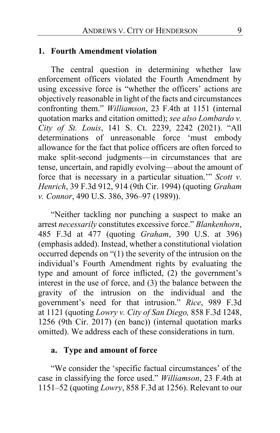#### **1. Fourth Amendment violation**

The central question in determining whether law enforcement officers violated the Fourth Amendment by using excessive force is "whether the officers' actions are objectively reasonable in light of the facts and circumstances confronting them." *Williamson*, 23 F.4th at 1151 (internal quotation marks and citation omitted); *see also Lombardo v. City of St. Louis*, 141 S. Ct. 2239, 2242 (2021). "All determinations of unreasonable force 'must embody allowance for the fact that police officers are often forced to make split-second judgments—in circumstances that are tense, uncertain, and rapidly evolving—about the amount of force that is necessary in a particular situation.'" *Scott v. Henrich*, 39 F.3d 912, 914 (9th Cir. 1994) (quoting *Graham v. Connor*, 490 U.S. 386, 396–97 (1989)).

"Neither tackling nor punching a suspect to make an arrest *necessarily* constitutes excessive force." *Blankenhorn*, 485 F.3d at 477 (quoting *Graham*, 390 U.S. at 396) (emphasis added). Instead, whether a constitutional violation occurred depends on "(1) the severity of the intrusion on the individual's Fourth Amendment rights by evaluating the type and amount of force inflicted, (2) the government's interest in the use of force, and (3) the balance between the gravity of the intrusion on the individual and the government's need for that intrusion." *Rice*, 989 F.3d at 1121 (quoting *Lowry v. City of San Diego,* 858 F.3d 1248, 1256 (9th Cir. 2017) (en banc)) (internal quotation marks omitted). We address each of these considerations in turn.

#### **a. Type and amount of force**

"We consider the 'specific factual circumstances' of the case in classifying the force used." *Williamson*, 23 F.4th at 1151–52 (quoting *Lowry*, 858 F.3d at 1256). Relevant to our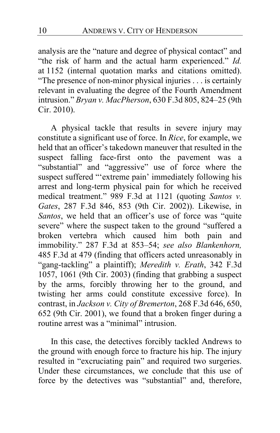analysis are the "nature and degree of physical contact" and "the risk of harm and the actual harm experienced." *Id.*  at 1152 (internal quotation marks and citations omitted). "The presence of non-minor physical injuries . . . is certainly relevant in evaluating the degree of the Fourth Amendment intrusion." *Bryan v. MacPherson*, 630 F.3d 805, 824–25 (9th Cir. 2010).

A physical tackle that results in severe injury may constitute a significant use of force. In *Rice*, for example, we held that an officer's takedown maneuver that resulted in the suspect falling face-first onto the pavement was a "substantial" and "aggressive" use of force where the suspect suffered "'extreme pain' immediately following his arrest and long-term physical pain for which he received medical treatment." 989 F.3d at 1121 (quoting *Santos v. Gates*, 287 F.3d 846, 853 (9th Cir. 2002)). Likewise, in *Santos*, we held that an officer's use of force was "quite severe" where the suspect taken to the ground "suffered a broken vertebra which caused him both pain and immobility." 287 F.3d at 853–54; *see also Blankenhorn,*  485 F.3d at 479 (finding that officers acted unreasonably in "gang-tackling" a plaintiff); *Meredith v. Erath*, 342 F.3d 1057, 1061 (9th Cir. 2003) (finding that grabbing a suspect by the arms, forcibly throwing her to the ground, and twisting her arms could constitute excessive force). In contrast, in *Jackson v. City of Bremerton*, 268 F.3d 646, 650, 652 (9th Cir. 2001), we found that a broken finger during a routine arrest was a "minimal" intrusion.

In this case, the detectives forcibly tackled Andrews to the ground with enough force to fracture his hip. The injury resulted in "excruciating pain" and required two surgeries. Under these circumstances, we conclude that this use of force by the detectives was "substantial" and, therefore,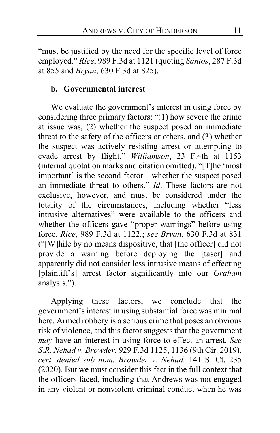"must be justified by the need for the specific level of force employed." *Rice*, 989 F.3d at 1121 (quoting *Santos*, 287 F.3d at 855 and *Bryan*, 630 F.3d at 825).

# **b. Governmental interest**

We evaluate the government's interest in using force by considering three primary factors: "(1) how severe the crime at issue was, (2) whether the suspect posed an immediate threat to the safety of the officers or others, and (3) whether the suspect was actively resisting arrest or attempting to evade arrest by flight." *Williamson*, 23 F.4th at 1153 (internal quotation marks and citation omitted). "[T]he 'most important' is the second factor—whether the suspect posed an immediate threat to others." *Id*. These factors are not exclusive, however, and must be considered under the totality of the circumstances, including whether "less intrusive alternatives" were available to the officers and whether the officers gave "proper warnings" before using force. *Rice*, 989 F.3d at 1122*.*; *see Bryan*, 630 F.3d at 831 ("[W]hile by no means dispositive, that [the officer] did not provide a warning before deploying the [taser] and apparently did not consider less intrusive means of effecting [plaintiff's] arrest factor significantly into our *Graham* analysis.").

Applying these factors, we conclude that the government's interest in using substantial force was minimal here. Armed robbery is a serious crime that poses an obvious risk of violence, and this factor suggests that the government *may* have an interest in using force to effect an arrest. *See S.R. Nehad v. Browder*, 929 F.3d 1125, 1136 (9th Cir. 2019), *cert. denied sub nom. Browder v. Nehad,* 141 S. Ct. 235 (2020). But we must consider this fact in the full context that the officers faced, including that Andrews was not engaged in any violent or nonviolent criminal conduct when he was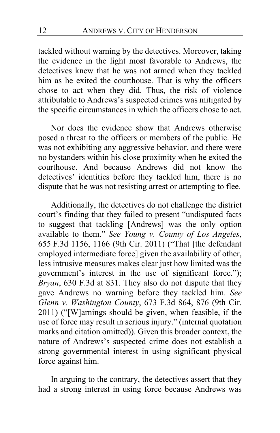tackled without warning by the detectives. Moreover, taking the evidence in the light most favorable to Andrews, the detectives knew that he was not armed when they tackled him as he exited the courthouse. That is why the officers chose to act when they did. Thus, the risk of violence attributable to Andrews's suspected crimes was mitigated by the specific circumstances in which the officers chose to act.

Nor does the evidence show that Andrews otherwise posed a threat to the officers or members of the public. He was not exhibiting any aggressive behavior, and there were no bystanders within his close proximity when he exited the courthouse. And because Andrews did not know the detectives' identities before they tackled him, there is no dispute that he was not resisting arrest or attempting to flee.

Additionally, the detectives do not challenge the district court's finding that they failed to present "undisputed facts to suggest that tackling [Andrews] was the only option available to them." *See Young v. County of Los Angeles*, 655 F.3d 1156, 1166 (9th Cir. 2011) ("That [the defendant employed intermediate force] given the availability of other, less intrusive measures makes clear just how limited was the government's interest in the use of significant force."); *Bryan*, 630 F.3d at 831. They also do not dispute that they gave Andrews no warning before they tackled him. *See Glenn v. Washington County*, 673 F.3d 864, 876 (9th Cir. 2011) ("[W]arnings should be given, when feasible, if the use of force may result in serious injury." (internal quotation marks and citation omitted)). Given this broader context, the nature of Andrews's suspected crime does not establish a strong governmental interest in using significant physical force against him.

In arguing to the contrary, the detectives assert that they had a strong interest in using force because Andrews was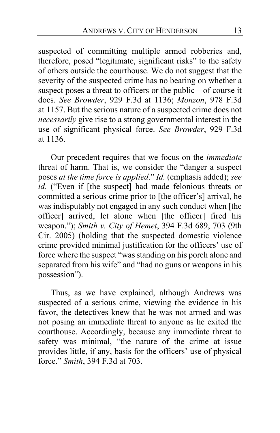suspected of committing multiple armed robberies and, therefore, posed "legitimate, significant risks" to the safety of others outside the courthouse. We do not suggest that the severity of the suspected crime has no bearing on whether a suspect poses a threat to officers or the public—of course it does. *See Browder*, 929 F.3d at 1136; *Monzon*, 978 F.3d at 1157. But the serious nature of a suspected crime does not *necessarily* give rise to a strong governmental interest in the use of significant physical force. *See Browder*, 929 F.3d at 1136.

Our precedent requires that we focus on the *immediate*  threat of harm. That is, we consider the "danger a suspect poses *at the time force is applied*." *Id.* (emphasis added); *see id.* ("Even if [the suspect] had made felonious threats or committed a serious crime prior to [the officer's] arrival, he was indisputably not engaged in any such conduct when [the officer] arrived, let alone when [the officer] fired his weapon."); *Smith v. City of Hemet*, 394 F.3d 689, 703 (9th Cir. 2005) (holding that the suspected domestic violence crime provided minimal justification for the officers' use of force where the suspect "was standing on his porch alone and separated from his wife" and "had no guns or weapons in his possession").

Thus, as we have explained, although Andrews was suspected of a serious crime, viewing the evidence in his favor, the detectives knew that he was not armed and was not posing an immediate threat to anyone as he exited the courthouse. Accordingly, because any immediate threat to safety was minimal, "the nature of the crime at issue provides little, if any, basis for the officers' use of physical force." *Smith*, 394 F.3d at 703.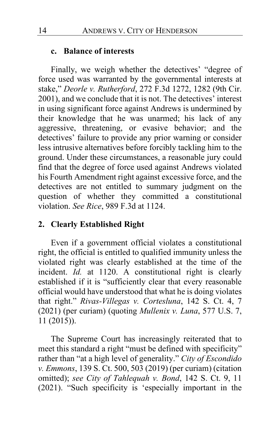#### **c. Balance of interests**

Finally, we weigh whether the detectives' "degree of force used was warranted by the governmental interests at stake," *Deorle v. Rutherford*, 272 F.3d 1272, 1282 (9th Cir. 2001), and we conclude that it is not. The detectives' interest in using significant force against Andrews is undermined by their knowledge that he was unarmed; his lack of any aggressive, threatening, or evasive behavior; and the detectives' failure to provide any prior warning or consider less intrusive alternatives before forcibly tackling him to the ground. Under these circumstances, a reasonable jury could find that the degree of force used against Andrews violated his Fourth Amendment right against excessive force, and the detectives are not entitled to summary judgment on the question of whether they committed a constitutional violation. *See Rice*, 989 F.3d at 1124.

## **2. Clearly Established Right**

Even if a government official violates a constitutional right, the official is entitled to qualified immunity unless the violated right was clearly established at the time of the incident. *Id.* at 1120. A constitutional right is clearly established if it is "sufficiently clear that every reasonable official would have understood that what he is doing violates that right." *Rivas-Villegas v. Cortesluna*, 142 S. Ct. 4, 7 (2021) (per curiam) (quoting *Mullenix v. Luna*, 577 U.S. 7, 11 (2015)).

The Supreme Court has increasingly reiterated that to meet this standard a right "must be defined with specificity" rather than "at a high level of generality." *City of Escondido v. Emmons*, 139 S. Ct. 500, 503 (2019) (per curiam) (citation omitted); *see City of Tahlequah v. Bond*, 142 S. Ct. 9, 11 (2021). "Such specificity is 'especially important in the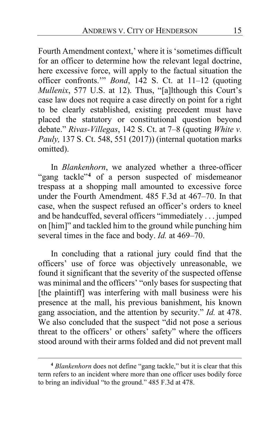Fourth Amendment context,' where it is 'sometimes difficult for an officer to determine how the relevant legal doctrine, here excessive force, will apply to the factual situation the officer confronts.'" *Bond*, 142 S. Ct. at 11–12 (quoting *Mullenix*, 577 U.S. at 12). Thus, "[a]lthough this Court's case law does not require a case directly on point for a right to be clearly established, existing precedent must have placed the statutory or constitutional question beyond debate." *Rivas-Villegas*, 142 S. Ct. at 7–8 (quoting *White v. Pauly,* 137 S. Ct. 548, 551 (2017)) (internal quotation marks omitted).

In *Blankenhorn*, we analyzed whether a three-officer "gang tackle"**[4](#page-14-0)** of a person suspected of misdemeanor trespass at a shopping mall amounted to excessive force under the Fourth Amendment. 485 F.3d at 467–70. In that case, when the suspect refused an officer's orders to kneel and be handcuffed, several officers "immediately . . . jumped on [him]" and tackled him to the ground while punching him several times in the face and body. *Id.* at 469–70.

In concluding that a rational jury could find that the officers' use of force was objectively unreasonable, we found it significant that the severity of the suspected offense was minimal and the officers' "only bases for suspecting that [the plaintiff] was interfering with mall business were his presence at the mall, his previous banishment, his known gang association, and the attention by security." *Id.* at 478. We also concluded that the suspect "did not pose a serious threat to the officers' or others' safety" where the officers stood around with their arms folded and did not prevent mall

<span id="page-14-0"></span>**<sup>4</sup>** *Blankenhorn* does not define "gang tackle," but it is clear that this term refers to an incident where more than one officer uses bodily force to bring an individual "to the ground." 485 F.3d at 478.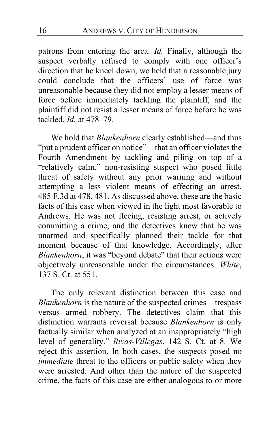patrons from entering the area. *Id.* Finally, although the suspect verbally refused to comply with one officer's direction that he kneel down, we held that a reasonable jury could conclude that the officers' use of force was unreasonable because they did not employ a lesser means of force before immediately tackling the plaintiff, and the plaintiff did not resist a lesser means of force before he was tackled. *Id.* at 478–79.

We hold that *Blankenhorn* clearly established—and thus "put a prudent officer on notice"—that an officer violates the Fourth Amendment by tackling and piling on top of a "relatively calm," non-resisting suspect who posed little threat of safety without any prior warning and without attempting a less violent means of effecting an arrest. 485 F.3d at 478, 481. As discussed above, these are the basic facts of this case when viewed in the light most favorable to Andrews. He was not fleeing, resisting arrest, or actively committing a crime, and the detectives knew that he was unarmed and specifically planned their tackle for that moment because of that knowledge. Accordingly, after *Blankenhorn*, it was "beyond debate" that their actions were objectively unreasonable under the circumstances. *White*, 137 S. Ct. at 551.

The only relevant distinction between this case and *Blankenhorn* is the nature of the suspected crimes—trespass versus armed robbery. The detectives claim that this distinction warrants reversal because *Blankenhorn* is only factually similar when analyzed at an inappropriately "high level of generality." *Rivas-Villegas*, 142 S. Ct. at 8. We reject this assertion. In both cases, the suspects posed no *immediate* threat to the officers or public safety when they were arrested. And other than the nature of the suspected crime, the facts of this case are either analogous to or more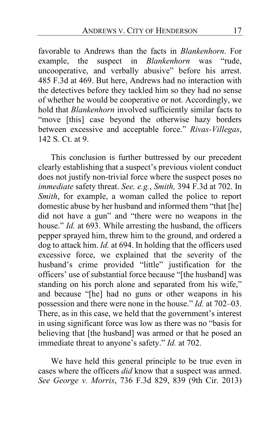favorable to Andrews than the facts in *Blankenhorn*. For example, the suspect in *Blankenhorn* was "rude, uncooperative, and verbally abusive" before his arrest. 485 F.3d at 469. But here, Andrews had no interaction with the detectives before they tackled him so they had no sense of whether he would be cooperative or not. Accordingly, we hold that *Blankenhorn* involved sufficiently similar facts to "move [this] case beyond the otherwise hazy borders between excessive and acceptable force." *Rivas-Villegas*, 142 S. Ct. at 9.

This conclusion is further buttressed by our precedent clearly establishing that a suspect's previous violent conduct does not justify non-trivial force where the suspect poses no *immediate* safety threat. *See, e.g.*, *Smith,* 394 F.3d at 702. In *Smith*, for example, a woman called the police to report domestic abuse by her husband and informed them "that [he] did not have a gun" and "there were no weapons in the house." *Id.* at 693. While arresting the husband, the officers pepper sprayed him, threw him to the ground, and ordered a dog to attack him. *Id.* at 694. In holding that the officers used excessive force, we explained that the severity of the husband's crime provided "little" justification for the officers' use of substantial force because "[the husband] was standing on his porch alone and separated from his wife," and because "[he] had no guns or other weapons in his possession and there were none in the house." *Id.* at 702–03. There, as in this case, we held that the government's interest in using significant force was low as there was no "basis for believing that [the husband] was armed or that he posed an immediate threat to anyone's safety." *Id.* at 702.

We have held this general principle to be true even in cases where the officers *did* know that a suspect was armed. *See George v. Morris*, 736 F.3d 829, 839 (9th Cir. 2013)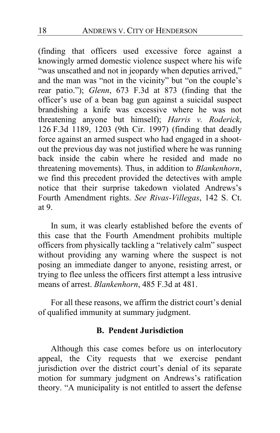(finding that officers used excessive force against a knowingly armed domestic violence suspect where his wife "was unscathed and not in jeopardy when deputies arrived," and the man was "not in the vicinity" but "on the couple's rear patio."); *Glenn*, 673 F.3d at 873 (finding that the officer's use of a bean bag gun against a suicidal suspect brandishing a knife was excessive where he was not threatening anyone but himself); *Harris v. Roderick*, 126 F.3d 1189, 1203 (9th Cir. 1997) (finding that deadly force against an armed suspect who had engaged in a shootout the previous day was not justified where he was running back inside the cabin where he resided and made no threatening movements). Thus, in addition to *Blankenhorn*, we find this precedent provided the detectives with ample notice that their surprise takedown violated Andrews's Fourth Amendment rights. *See Rivas-Villegas*, 142 S. Ct. at 9.

In sum, it was clearly established before the events of this case that the Fourth Amendment prohibits multiple officers from physically tackling a "relatively calm" suspect without providing any warning where the suspect is not posing an immediate danger to anyone, resisting arrest, or trying to flee unless the officers first attempt a less intrusive means of arrest. *Blankenhorn*, 485 F.3d at 481.

For all these reasons, we affirm the district court's denial of qualified immunity at summary judgment.

# **B. Pendent Jurisdiction**

Although this case comes before us on interlocutory appeal, the City requests that we exercise pendant jurisdiction over the district court's denial of its separate motion for summary judgment on Andrews's ratification theory. "A municipality is not entitled to assert the defense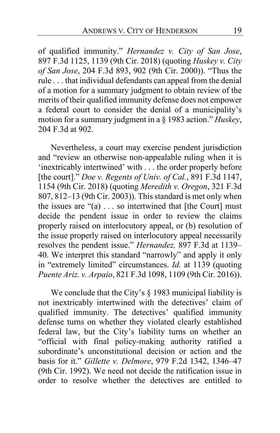of qualified immunity." *Hernandez v. City of San Jose*, 897 F.3d 1125, 1139 (9th Cir. 2018) (quoting *Huskey v. City of San Jose*, 204 F.3d 893, 902 (9th Cir. 2000)). "Thus the rule . . . that individual defendants can appeal from the denial of a motion for a summary judgment to obtain review of the merits of their qualified immunity defense does not empower a federal court to consider the denial of a municipality's motion for a summary judgment in a § 1983 action." *Huskey*, 204 F.3d at 902.

Nevertheless, a court may exercise pendent jurisdiction and "review an otherwise non-appealable ruling when it is 'inextricably intertwined' with . . . the order properly before [the court]." *Doe v. Regents of Univ. of Cal.*, 891 F.3d 1147, 1154 (9th Cir. 2018) (quoting *Meredith v. Oregon*, 321 F.3d 807, 812–13 (9th Cir. 2003)). This standard is met only when the issues are  $\cdot(a) \dots$  so intertwined that [the Court] must decide the pendent issue in order to review the claims properly raised on interlocutory appeal, or (b) resolution of the issue properly raised on interlocutory appeal necessarily resolves the pendent issue." *Hernandez,* 897 F.3d at 1139– 40. We interpret this standard "narrowly" and apply it only in "extremely limited" circumstances. *Id.* at 1139 (quoting *Puente Ariz. v. Arpaio*, 821 F.3d 1098, 1109 (9th Cir. 2016)).

We conclude that the City's § 1983 municipal liability is not inextricably intertwined with the detectives' claim of qualified immunity. The detectives' qualified immunity defense turns on whether they violated clearly established federal law, but the City's liability turns on whether an "official with final policy-making authority ratified a subordinate's unconstitutional decision or action and the basis for it." *Gillette v. Delmore*, 979 F.2d 1342, 1346–47 (9th Cir. 1992). We need not decide the ratification issue in order to resolve whether the detectives are entitled to